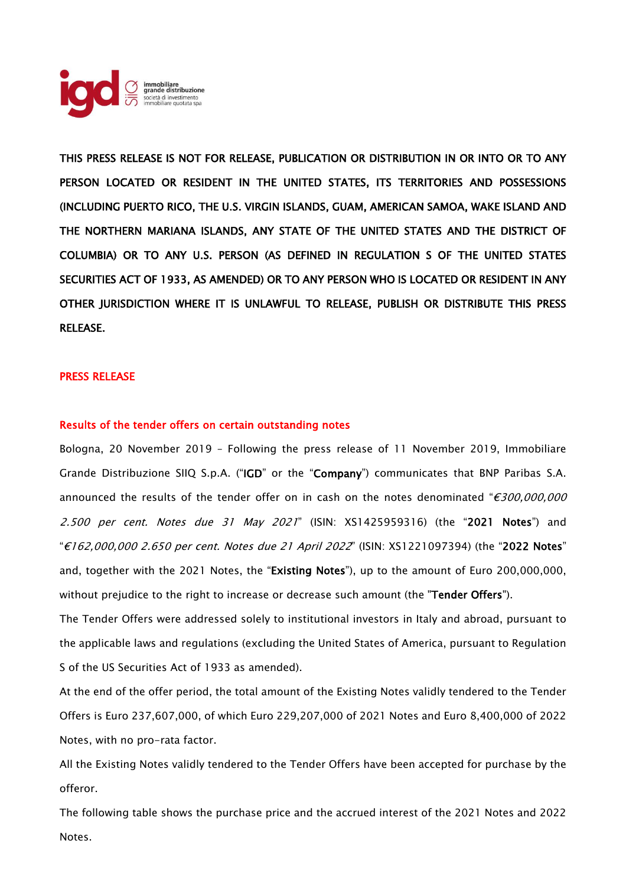

THIS PRESS RELEASE IS NOT FOR RELEASE, PUBLICATION OR DISTRIBUTION IN OR INTO OR TO ANY PERSON LOCATED OR RESIDENT IN THE UNITED STATES, ITS TERRITORIES AND POSSESSIONS (INCLUDING PUERTO RICO, THE U.S. VIRGIN ISLANDS, GUAM, AMERICAN SAMOA, WAKE ISLAND AND THE NORTHERN MARIANA ISLANDS, ANY STATE OF THE UNITED STATES AND THE DISTRICT OF COLUMBIA) OR TO ANY U.S. PERSON (AS DEFINED IN REGULATION S OF THE UNITED STATES SECURITIES ACT OF 1933, AS AMENDED) OR TO ANY PERSON WHO IS LOCATED OR RESIDENT IN ANY OTHER JURISDICTION WHERE IT IS UNLAWFUL TO RELEASE, PUBLISH OR DISTRIBUTE THIS PRESS RELEASE.

# PRESS RELEASE

## Results of the tender offers on certain outstanding notes

Bologna, 20 November 2019 – Following the press release of 11 November 2019, Immobiliare Grande Distribuzione SIIQ S.p.A. ("IGD" or the "Company") communicates that BNP Paribas S.A. announced the results of the tender offer on in cash on the notes denominated " $\epsilon$ 300,000,000 2.500 per cent. Notes due 31 May 2021" (ISIN: XS1425959316) (the "2021 Notes") and "€162,000,000 2.650 per cent. Notes due 21 April 2022" (ISIN: XS1221097394) (the "2022 Notes" and, together with the 2021 Notes, the "Existing Notes"), up to the amount of Euro 200,000,000, without prejudice to the right to increase or decrease such amount (the "Tender Offers").

The Tender Offers were addressed solely to institutional investors in Italy and abroad, pursuant to the applicable laws and regulations (excluding the United States of America, pursuant to Regulation S of the US Securities Act of 1933 as amended).

At the end of the offer period, the total amount of the Existing Notes validly tendered to the Tender Offers is Euro 237,607,000, of which Euro 229,207,000 of 2021 Notes and Euro 8,400,000 of 2022 Notes, with no pro-rata factor.

All the Existing Notes validly tendered to the Tender Offers have been accepted for purchase by the offeror.

The following table shows the purchase price and the accrued interest of the 2021 Notes and 2022 Notes.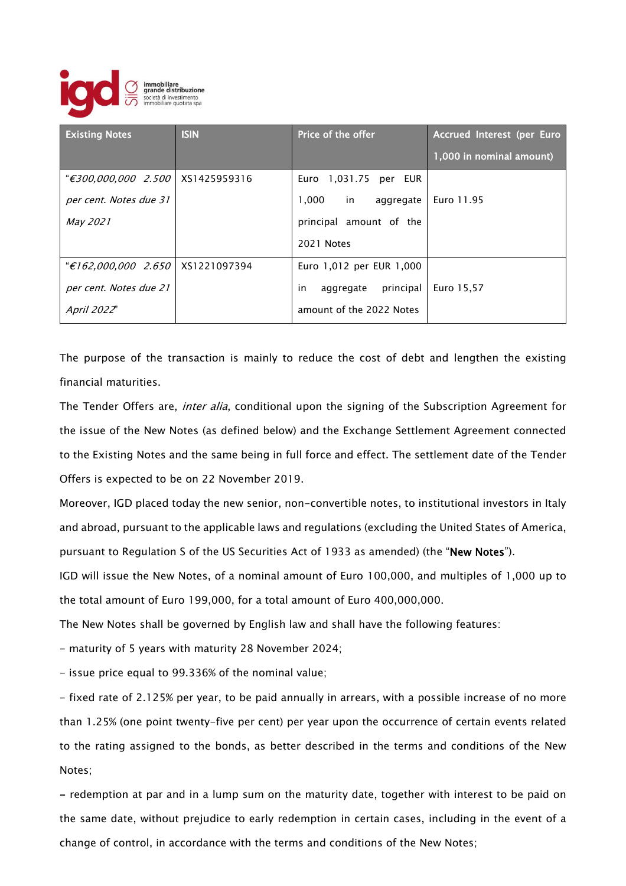

| <b>Existing Notes</b>                         | <b>ISIN</b> | Price of the offer        | <b>Accrued Interest (per Euro</b> |
|-----------------------------------------------|-------------|---------------------------|-----------------------------------|
|                                               |             |                           | 1,000 in nominal amount)          |
| "€300,000,000 2.500   XS1425959316            |             | Euro 1,031.75 per EUR     |                                   |
| per cent. Notes due 31                        |             | in aggregate<br>1,000     | Euro 11.95                        |
| May 2021                                      |             | principal amount of the   |                                   |
|                                               |             | 2021 Notes                |                                   |
| " $\epsilon$ 162,000,000 2.650   XS1221097394 |             | Euro 1,012 per EUR 1,000  |                                   |
| per cent. Notes due 21                        |             | in<br>aggregate principal | Euro 15,57                        |
| April 2022"                                   |             | amount of the 2022 Notes  |                                   |

The purpose of the transaction is mainly to reduce the cost of debt and lengthen the existing financial maturities.

The Tender Offers are, *inter alia*, conditional upon the signing of the Subscription Agreement for the issue of the New Notes (as defined below) and the Exchange Settlement Agreement connected to the Existing Notes and the same being in full force and effect. The settlement date of the Tender Offers is expected to be on 22 November 2019.

Moreover, IGD placed today the new senior, non-convertible notes, to institutional investors in Italy and abroad, pursuant to the applicable laws and regulations (excluding the United States of America, pursuant to Regulation S of the US Securities Act of 1933 as amended) (the "New Notes").

IGD will issue the New Notes, of a nominal amount of Euro 100,000, and multiples of 1,000 up to the total amount of Euro 199,000, for a total amount of Euro 400,000,000.

The New Notes shall be governed by English law and shall have the following features:

- maturity of 5 years with maturity 28 November 2024;

- issue price equal to 99.336% of the nominal value;

- fixed rate of 2.125% per year, to be paid annually in arrears, with a possible increase of no more than 1.25% (one point twenty-five per cent) per year upon the occurrence of certain events related to the rating assigned to the bonds, as better described in the terms and conditions of the New Notes;

- redemption at par and in a lump sum on the maturity date, together with interest to be paid on the same date, without prejudice to early redemption in certain cases, including in the event of a change of control, in accordance with the terms and conditions of the New Notes;